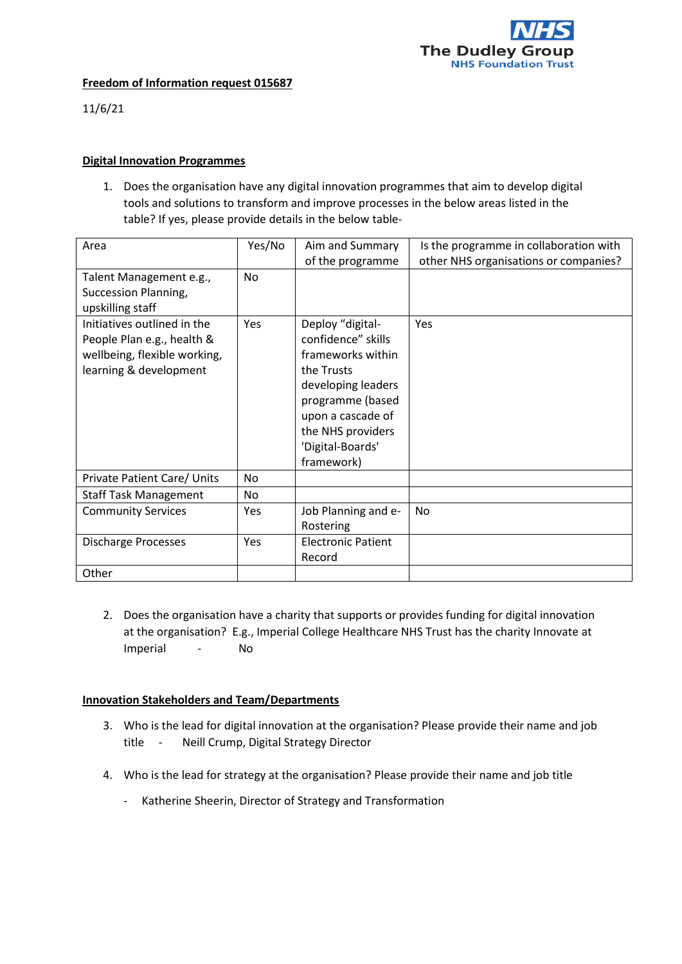

## **Freedom of Information request 015687**

11/6/21

## **Digital Innovation Programmes**

1. Does the organisation have any digital innovation programmes that aim to develop digital tools and solutions to transform and improve processes in the below areas listed in the table? If yes, please provide details in the below table-

| Area                                                                                                                | Yes/No | Aim and Summary                                                                                                                                                                                 | Is the programme in collaboration with |
|---------------------------------------------------------------------------------------------------------------------|--------|-------------------------------------------------------------------------------------------------------------------------------------------------------------------------------------------------|----------------------------------------|
|                                                                                                                     |        | of the programme                                                                                                                                                                                | other NHS organisations or companies?  |
| Talent Management e.g.,<br>Succession Planning,<br>upskilling staff                                                 | No     |                                                                                                                                                                                                 |                                        |
| Initiatives outlined in the<br>People Plan e.g., health &<br>wellbeing, flexible working,<br>learning & development | Yes    | Deploy "digital-<br>confidence" skills<br>frameworks within<br>the Trusts<br>developing leaders<br>programme (based<br>upon a cascade of<br>the NHS providers<br>'Digital-Boards'<br>framework) | Yes                                    |
| Private Patient Care/ Units                                                                                         | No     |                                                                                                                                                                                                 |                                        |
| <b>Staff Task Management</b>                                                                                        | No     |                                                                                                                                                                                                 |                                        |
| <b>Community Services</b>                                                                                           | Yes    | Job Planning and e-<br>Rostering                                                                                                                                                                | No                                     |
| <b>Discharge Processes</b>                                                                                          | Yes    | <b>Electronic Patient</b><br>Record                                                                                                                                                             |                                        |
| Other                                                                                                               |        |                                                                                                                                                                                                 |                                        |

2. Does the organisation have a charity that supports or provides funding for digital innovation at the organisation? E.g., Imperial College Healthcare NHS Trust has the charity Innovate at Imperial - No

## **Innovation Stakeholders and Team/Departments**

- 3. Who is the lead for digital innovation at the organisation? Please provide their name and job title - Neill Crump, Digital Strategy Director
- 4. Who is the lead for strategy at the organisation? Please provide their name and job title
	- Katherine Sheerin, Director of Strategy and Transformation